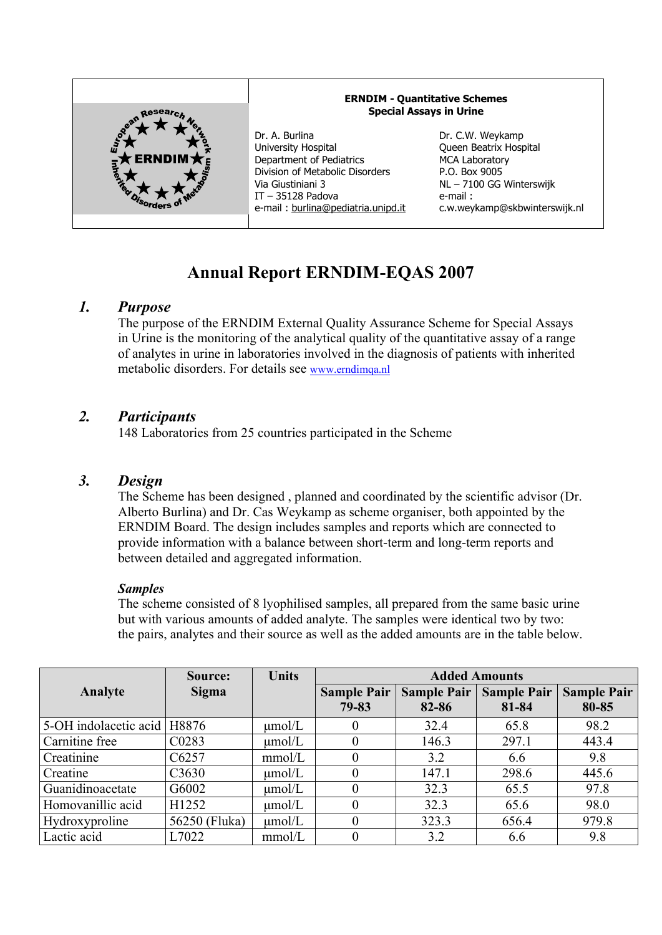

# **Annual Report ERNDIM-EQAS 2007**

# *1. Purpose*

The purpose of the ERNDIM External Quality Assurance Scheme for Special Assays in Urine is the monitoring of the analytical quality of the quantitative assay of a range of analytes in urine in laboratories involved in the diagnosis of patients with inherited metabolic disorders. For details see www.erndimqa.nl

# *2. Participants*

148 Laboratories from 25 countries participated in the Scheme

# *3. Design*

The Scheme has been designed , planned and coordinated by the scientific advisor (Dr. Alberto Burlina) and Dr. Cas Weykamp as scheme organiser, both appointed by the ERNDIM Board. The design includes samples and reports which are connected to provide information with a balance between short-term and long-term reports and between detailed and aggregated information.

## *Samples*

The scheme consisted of 8 lyophilised samples, all prepared from the same basic urine but with various amounts of added analyte. The samples were identical two by two: the pairs, analytes and their source as well as the added amounts are in the table below.

|                               | Source:       | <b>Units</b> | <b>Added Amounts</b> |                    |                    |                    |
|-------------------------------|---------------|--------------|----------------------|--------------------|--------------------|--------------------|
| Analyte                       | Sigma         |              | <b>Sample Pair</b>   | <b>Sample Pair</b> | <b>Sample Pair</b> | <b>Sample Pair</b> |
|                               |               |              | 79-83                | 82-86              | 81-84              | 80-85              |
| 5-OH indolacetic acid   H8876 |               | $\mu$ mol/L  |                      | 32.4               | 65.8               | 98.2               |
| Carnitine free                | C0283         | $\mu$ mol/L  |                      | 146.3              | 297.1              | 443.4              |
| Creatinine                    | C6257         | mmol/L       | 0                    | 3.2                | 6.6                | 9.8                |
| Creatine                      | C3630         | $\mu$ mol/L  |                      | 147.1              | 298.6              | 445.6              |
| Guanidinoacetate              | G6002         | $\mu$ mol/L  | 0                    | 32.3               | 65.5               | 97.8               |
| Homovanillic acid             | H1252         | $\mu$ mol/L  | 0                    | 32.3               | 65.6               | 98.0               |
| Hydroxyproline                | 56250 (Fluka) | $\mu$ mol/L  | 0                    | 323.3              | 656.4              | 979.8              |
| Lactic acid                   | L7022         | mmol/L       |                      | 3.2                | 6.6                | 9.8                |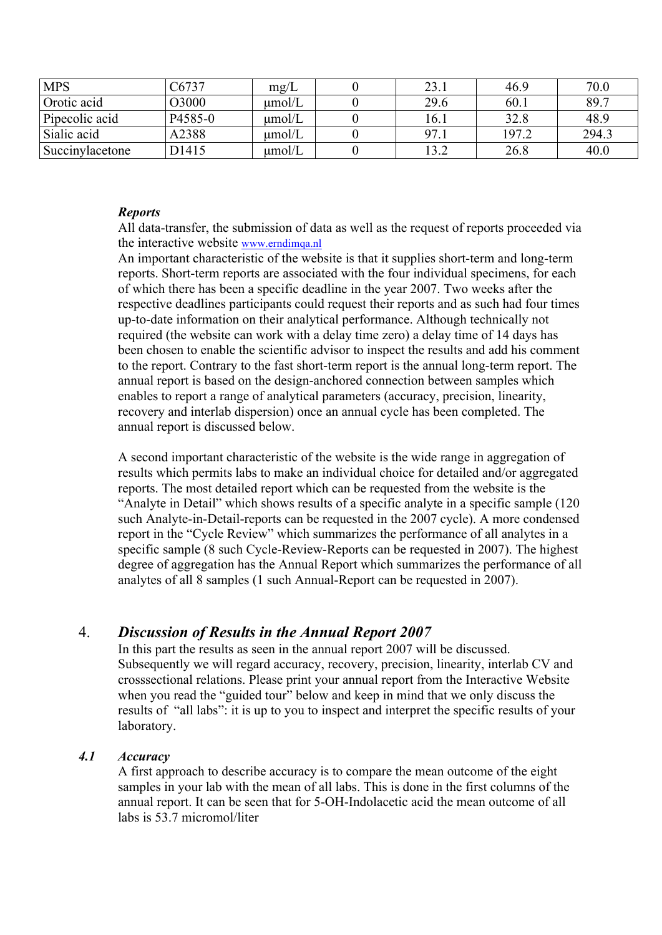| <b>MPS</b>      | 26737        | mg/L        | 23.1               | 46.9  | 70.0  |
|-----------------|--------------|-------------|--------------------|-------|-------|
| Orotic acid     | <b>COCC</b>  | umol/L      | 29.6               | 60.1  | 89.7  |
| Pipecolic acid  | P4585-0      | $\mu$ mol/L | .6.1               | 32.8  | 48.9  |
| Sialic acid     | A2388        | umol/L      | 97.<br>$\prime$ .1 | 197.2 | 294.3 |
| Succinylacetone | <b>D1415</b> | $\mu$ mol/L | 12 つ<br>⊿.د        | 26.8  | 40.0  |

## *Reports*

All data-transfer, the submission of data as well as the request of reports proceeded via the interactive website www.erndimqa.nl

An important characteristic of the website is that it supplies short-term and long-term reports. Short-term reports are associated with the four individual specimens, for each of which there has been a specific deadline in the year 2007. Two weeks after the respective deadlines participants could request their reports and as such had four times up-to-date information on their analytical performance. Although technically not required (the website can work with a delay time zero) a delay time of 14 days has been chosen to enable the scientific advisor to inspect the results and add his comment to the report. Contrary to the fast short-term report is the annual long-term report. The annual report is based on the design-anchored connection between samples which enables to report a range of analytical parameters (accuracy, precision, linearity, recovery and interlab dispersion) once an annual cycle has been completed. The annual report is discussed below.

A second important characteristic of the website is the wide range in aggregation of results which permits labs to make an individual choice for detailed and/or aggregated reports. The most detailed report which can be requested from the website is the "Analyte in Detail" which shows results of a specific analyte in a specific sample (120 such Analyte-in-Detail-reports can be requested in the 2007 cycle). A more condensed report in the "Cycle Review" which summarizes the performance of all analytes in a specific sample (8 such Cycle-Review-Reports can be requested in 2007). The highest degree of aggregation has the Annual Report which summarizes the performance of all analytes of all 8 samples (1 such Annual-Report can be requested in 2007).

# 4. *Discussion of Results in the Annual Report 2007*

In this part the results as seen in the annual report 2007 will be discussed. Subsequently we will regard accuracy, recovery, precision, linearity, interlab CV and crosssectional relations. Please print your annual report from the Interactive Website when you read the "guided tour" below and keep in mind that we only discuss the results of "all labs": it is up to you to inspect and interpret the specific results of your laboratory.

## *4.1 Accuracy*

A first approach to describe accuracy is to compare the mean outcome of the eight samples in your lab with the mean of all labs. This is done in the first columns of the annual report. It can be seen that for 5-OH-Indolacetic acid the mean outcome of all labs is 53.7 micromol/liter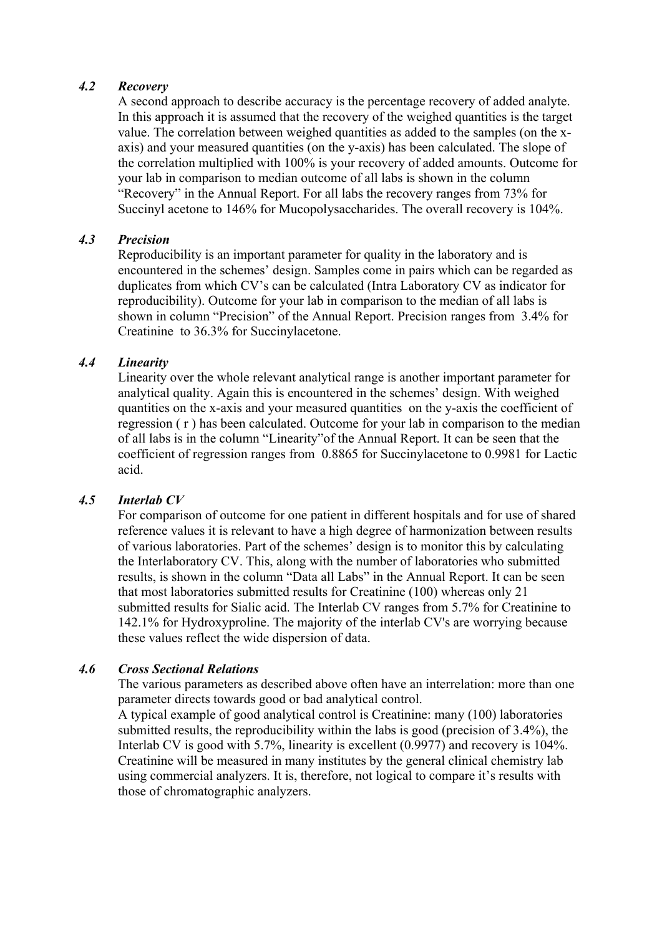#### *4.2 Recovery*

A second approach to describe accuracy is the percentage recovery of added analyte. In this approach it is assumed that the recovery of the weighed quantities is the target value. The correlation between weighed quantities as added to the samples (on the xaxis) and your measured quantities (on the y-axis) has been calculated. The slope of the correlation multiplied with 100% is your recovery of added amounts. Outcome for your lab in comparison to median outcome of all labs is shown in the column "Recovery" in the Annual Report. For all labs the recovery ranges from 73% for Succinyl acetone to 146% for Mucopolysaccharides. The overall recovery is 104%.

## *4.3 Precision*

Reproducibility is an important parameter for quality in the laboratory and is encountered in the schemes' design. Samples come in pairs which can be regarded as duplicates from which CV's can be calculated (Intra Laboratory CV as indicator for reproducibility). Outcome for your lab in comparison to the median of all labs is shown in column "Precision" of the Annual Report. Precision ranges from 3.4% for Creatinine to 36.3% for Succinylacetone.

## *4.4 Linearity*

Linearity over the whole relevant analytical range is another important parameter for analytical quality. Again this is encountered in the schemes' design. With weighed quantities on the x-axis and your measured quantities on the y-axis the coefficient of regression ( r ) has been calculated. Outcome for your lab in comparison to the median of all labs is in the column "Linearity"of the Annual Report. It can be seen that the coefficient of regression ranges from 0.8865 for Succinylacetone to 0.9981 for Lactic acid.

## *4.5 Interlab CV*

For comparison of outcome for one patient in different hospitals and for use of shared reference values it is relevant to have a high degree of harmonization between results of various laboratories. Part of the schemes' design is to monitor this by calculating the Interlaboratory CV. This, along with the number of laboratories who submitted results, is shown in the column "Data all Labs" in the Annual Report. It can be seen that most laboratories submitted results for Creatinine (100) whereas only 21 submitted results for Sialic acid. The Interlab CV ranges from 5.7% for Creatinine to 142.1% for Hydroxyproline. The majority of the interlab CV's are worrying because these values reflect the wide dispersion of data.

## *4.6 Cross Sectional Relations*

The various parameters as described above often have an interrelation: more than one parameter directs towards good or bad analytical control.

A typical example of good analytical control is Creatinine: many (100) laboratories submitted results, the reproducibility within the labs is good (precision of 3.4%), the Interlab CV is good with 5.7%, linearity is excellent (0.9977) and recovery is 104%. Creatinine will be measured in many institutes by the general clinical chemistry lab using commercial analyzers. It is, therefore, not logical to compare it's results with those of chromatographic analyzers.